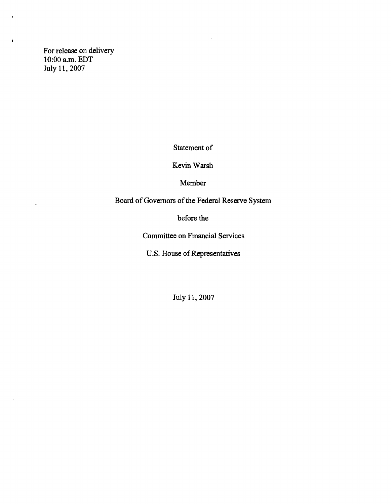For release on delivery 10:00 a.m. EDT July 11, 2007

 $\pmb{\downarrow}$ 

 $\ddot{ }$ 

 $\bar{z}$ 

Statement of

Kevin Warsh

Member

Board of Governors of the Federal Reserve System

before the

Committee on Financial Services

U.S. House of Representatives

July 11,2007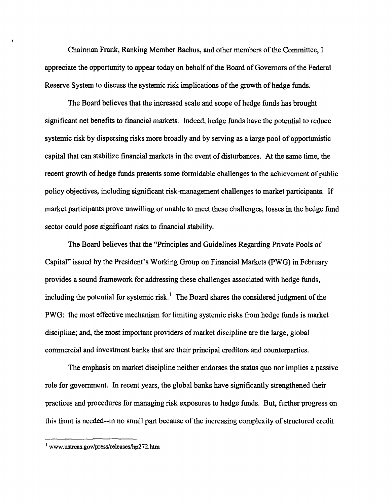Chairman Frank, Ranking Member Bachus, and other members of the Committee, I appreciate the opportunity to appear today on behalf of the Board of Governors of the Federal Reserve System to discuss the systemic risk implications of the growth of hedge funds.

The Board believes that the increased scale and scope of hedge funds has brought significant net benefits to financial markets. Indeed, hedge funds have the potential to reduce systemic risk by dispersing risks more broadly and by serving as a large pool of opportunistic capital that can stabilize financial markets in the event of disturbances. At the same time, the recent growth of hedge funds presents some formidable challenges to the achievement of public policy objectives, including significant risk-management challenges to market participants. If market participants prove unwilling or unable to meet these challenges, losses in the hedge fund sector could pose significant risks to financial stability.

The Board believes that the "Principles and Guidelines Regarding Private Pools of Capital" issued by the President's Working Group on Financial Markets (PWG) in February provides a sound framework for addressing these challenges associated with hedge funds, including the potential for systemic risk.<sup>1</sup> The Board shares the considered judgment of the PWG: the most effective mechanism for limiting systemic risks from hedge funds is market discipline; and, the most important providers of market discipline are the large, global commercial and investment banks that are their principal creditors and counterparties.

The emphasis on market discipline neither endorses the status quo nor implies a passive role for government. In recent years, the global banks have significantly strengthened their practices and procedures for managing risk exposures to hedge funds. But, further progress on this front is needed—in no small part because of the increasing complexity of structured credit

**<sup>1</sup> [www.ustreas.gov/press/releases/hp272.htm](http://www.ustreas.gov/press/releases/hp272.htm)**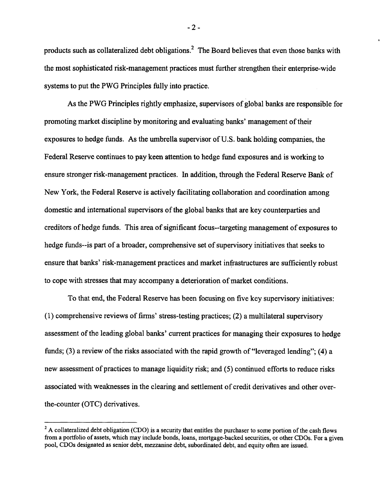products such as collateralized debt obligations.<sup>2</sup> The Board believes that even those banks with the most sophisticated risk-management practices must further strengthen their enterprise-wide systems to put the PWG Principles fully into practice.

As the PWG Principles rightly emphasize, supervisors of global banks are responsible for promoting market discipline by monitoring and evaluating banks' management of their exposures to hedge funds. As the umbrella supervisor of U.S. bank holding companies, the Federal Reserve continues to pay keen attention to hedge fund exposures and is working to ensure stronger risk-management practices. In addition, through the Federal Reserve Bank of New York, the Federal Reserve is actively facilitating collaboration and coordination among domestic and international supervisors of the global banks that are key counterparties and creditors of hedge funds. This area of significant focus-targeting management of exposures to hedge funds—is part of a broader, comprehensive set of supervisory initiatives that seeks to ensure that banks' risk-management practices and market infrastructures are sufficiently robust to cope with stresses that may accompany a deterioration of market conditions.

To that end, the Federal Reserve has been focusing on five key supervisory initiatives: (1) comprehensive reviews of firms' stress-testing practices; (2) a multilateral supervisory assessment of the leading global banks' current practices for managing their exposures to hedge funds; (3) a review of the risks associated with the rapid growth of "leveraged lending"; (4) a new assessment of practices to manage liquidity risk; and (5) continued efforts to reduce risks associated with weaknesses in the clearing and settlement of credit derivatives and other overthe-counter (OTC) derivatives.

 $-2 -$ 

 $2$  A collateralized debt obligation (CDO) is a security that entitles the purchaser to some portion of the cash flows from a portfolio of assets, which may include bonds, loans, mortgage-backed securities, or other CDOs. For a given **pool, CDOs designated as senior debt, mezzanine debt, subordinated debt, and equity often are issued.**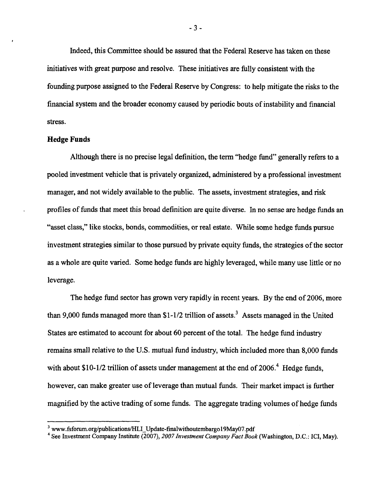Indeed, this Committee should be assured that the Federal Reserve has taken on these initiatives with great purpose and resolve. These initiatives are fully consistent with the founding purpose assigned to the Federal Reserve by Congress: to help mitigate the risks to the financialsystem and the broader economy caused by periodic bouts of instability and financial stress.

#### **Hedge Funds**

Although there is no precise legal definition, the term "hedge fund" generally refers to a pooled investment vehicle that is privately organized, administered by a professional investment manager, and not widely available to the public. The assets, investment strategies, and risk profiles of funds that meet this broad definition are quite diverse. In no sense are hedge funds an "asset class," like stocks, bonds, commodities, or real estate. While some hedge funds pursue investment strategies similar to those pursued by private equity funds, the strategies of the sector as a whole are quite varied. Some hedge funds are highly leveraged, while many use little or no leverage.

The hedge fund sector has grown very rapidly in recent years. By the end of 2006, more than 9,000 funds managed more than  $$1-1/2$  trillion of assets.<sup>3</sup> Assets managed in the United States are estimated to account for about 60 percent of the total. The hedge fund industry remains small relative to the U.S. mutual fund industry, which included more than 8,000 funds with about  $$10-1/2$  trillion of assets under management at the end of 2006.<sup>4</sup> Hedge funds, however, can make greater use of leverage than mutual funds. Their market impact is further magnified by the active trading of some funds. The aggregate trading volumes of hedge funds

**<sup>3</sup> [www.fsforam.org/publications/HLI\\_Update-finalwithoutembargo](http://www.fsforam.org/publications/HLI_Update-finalwithoutembargo) 19May07.pdf**

**<sup>4</sup> See Investment Company Institute (2007),** *2007 Investment Company Fact Book* **(Washington, D.C.: ICI, May).**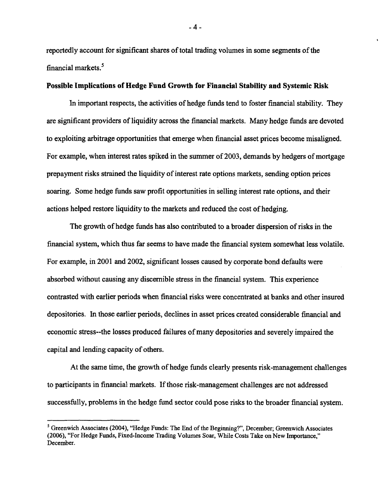reportedly account for significant shares of total trading volumes in some segments of the financial markets.<sup>5</sup>

# **Possible Implications of Hedge Fund Growth for Financial Stability and Systemic Risk**

In important respects, the activities of hedge funds tend to foster financial stability. They are significant providers of liquidity across the financial markets. Many hedge funds are devoted to exploiting arbitrage opportunities that emerge when financial asset prices become misaligned. For example, when interest rates spiked in the summer of 2003, demands by hedgers of mortgage prepayment risks strained the liquidity of interest rate options markets, sending option prices soaring. Some hedge funds saw profit opportunities in selling interest rate options, and their actions helped restore liquidity to the markets and reduced the cost of hedging.

The growth of hedge funds has also contributed to a broader dispersion of risks in the financial system, which thus far seems to have made the financial system somewhat less volatile. For example, in 2001 and 2002, significant losses caused by corporate bond defaults were absorbed without causing any discernible stress in the financial system. This experience contrasted with earlier periods when financial risks were concentrated at banks and other insured depositories. In those earlier periods, declines in asset prices created considerable financial and economic stress-the losses produced failures of many depositories and severely impaired the capital and lending capacity of others.

At the same time, the growth of hedge funds clearly presents risk-management challenges to participants in financial markets. If those risk-management challenges are not addressed successfully, problems in the hedge fund sector could pose risks to the broader financial system.

- 4 -

**<sup>5</sup> Greenwich Associates (2004), "Hedge Funds: The End of the Beginning?", December; Greenwich Associates (2006), "For Hedge Funds, Fixed-Income Trading Volumes Soar, While Costs Take on New Importance," December.**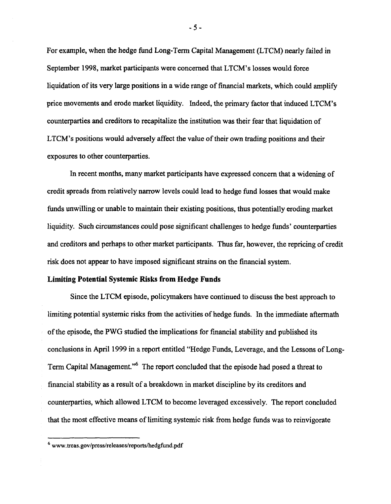For example, when the hedge fund Long-Term Capital Management (LTCM) nearly failed in September 1998, market participants were concerned that LTCM's losses would force liquidation of its very large positions in a wide range of financial markets, which could amplify price movements and erode market liquidity. Indeed, the primary factor that induced LTCM's counterparties and creditors to recapitalize the institution was their fear that liquidation of LTCM's positions would adversely affect the value of their own trading positions and their exposures to other counterparties.

In recent months, many market participants have expressed concern that a widening of credit spreads from relatively narrow levels could lead to hedge fund losses that would make funds unwilling or unable to maintain their existing positions, thus potentially eroding market liquidity. Such circumstances could pose significant challenges to hedge funds' counterparties and creditors and perhaps to other market participants. Thus far, however, the repricing of credit risk does not appear to have imposed significant strains on the financial system.

### **Limiting Potential Systemic Risks from Hedge Funds**

Since the LTCM episode, policymakers have continued to discuss the best approach to limiting potential systemic risks from the activities of hedge funds. In the immediate aftermath of the episode, the PWG studied the implications for financial stability and published its conclusions in April 1999 in a report entitled "Hedge Funds, Leverage, and the Lessons of Long-Term Capital Management."<sup>6</sup> The report concluded that the episode had posed a threat to financial stability as a result of a breakdown in market discipline by its creditors and counterparties, which allowed LTCM to become leveraged excessively. The report concluded that the most effective means of limiting systemic risk from hedge funds was to reinvigorate

- 5 -

**<sup>6</sup> [www.treas.gov/press/releases/reports/hedgfund.pdf](http://www.treas.gov/press/releases/reports/hedgfund.pdf)**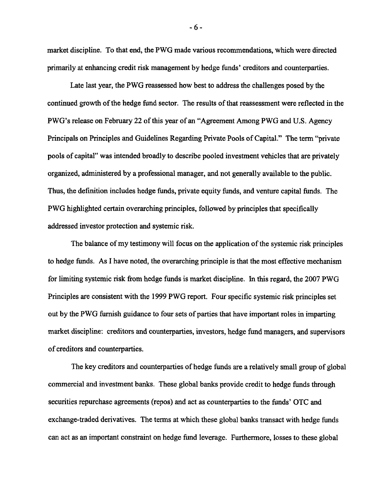market discipline. To that end, the PWG made various recommendations, which were directed primarily at enhancing credit risk management by hedge funds' creditors and counterparties.

Late last year, the PWG reassessed how best to address the challenges posed by the continued growth of the hedge fund sector. The results of that reassessment were reflected in the PWG's release on February 22 of this year of an "Agreement Among PWG and U.S. Agency Principals on Principles and Guidelines Regarding Private Pools of Capital." The term "private pools of capital" was intended broadly to describe pooled investment vehicles that are privately organized, administered by a professional manager, and not generally available to the public. Thus, the definition includes hedge funds, private equity funds, and venture capital funds. The PWG highlighted certain overarching principles, followed by principles that specifically addressed investor protection and systemic risk.

The balance of my testimony will focus on the application of the systemic risk principles to hedge funds. As I have noted, the overarching principle is that the most effective mechanism for limiting systemic risk from hedge funds is market discipline. In this regard, the 2007 PWG Principles are consistent with the 1999 PWG report. Four specific systemic risk principles set out by the PWG furnish guidance to four sets of parties that have important roles in imparting market discipline: creditors and counterparties, investors, hedge fund managers, and supervisors of creditors and counterparties.

The key creditors and counterparties of hedge funds are a relatively small group of global commercial and investment banks. These global banks provide credit to hedge funds through securities repurchase agreements (repos) and act as counterparties to the funds' OTC and exchange-traded derivatives. The terms at which these global banks transact with hedge funds can act as an important constraint on hedge fund leverage. Furthermore, losses to these global

 $-6 -$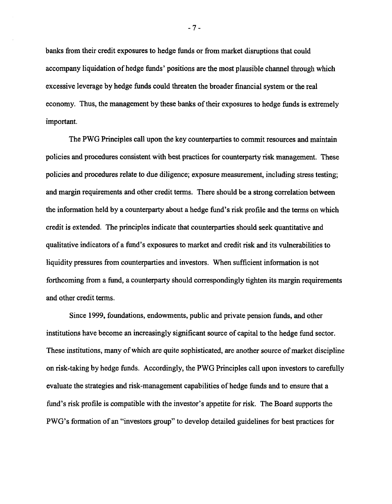banks from their credit exposures to hedge funds or from market disruptions that could accompany liquidation of hedge funds' positions are the most plausible channel through which excessive leverage by hedge funds could threaten the broader financial system or the real economy. Thus, the management by these banks of their exposures to hedge funds is extremely important.

The PWG Principles call upon the key counterparties to commit resources and maintain policies and procedures consistent with best practices for counterparty risk management. These policies and procedures relate to due diligence; exposure measurement, including stress testing; and margin requirements and other credit terms. There should be a strong correlation between the information held by a counterparty about a hedge fund's risk profile and the terms on which credit is extended. The principles indicate that counterparties should seek quantitative and qualitative indicators of a fund's exposures to market and credit risk and its vulnerabilities to liquidity pressures from counterparties and investors. When sufficient information is not forthcoming from a fund, a counterparty should correspondingly tighten its margin requirements and other credit terms.

Since 1999, foundations, endowments, public and private pension funds, and other institutions have become an increasingly significant source of capital to the hedge fund sector. These institutions, many of which are quite sophisticated, are another source of market discipline on risk-taking by hedge funds. Accordingly, the PWG Principles call upon investors to carefully evaluate the strategies and risk-management capabilities of hedge funds and to ensure that a fund's risk profile is compatible with the investor's appetite for risk. The Board supports the PWG's formation of an "investors group" to develop detailed guidelines for best practices for

- 7 -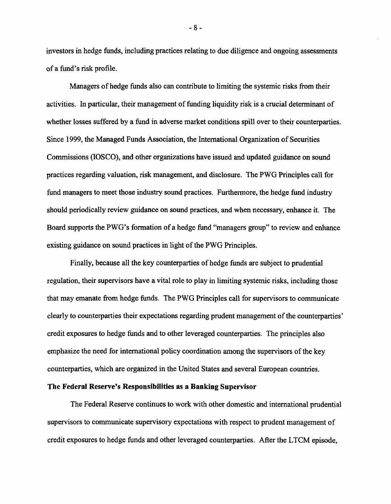investors in hedge funds, including practices relating to due diligence and ongoing assessments of a fund's risk profile.

Managers of hedge funds also can contribute to limiting the systemic risks from their activities. In particular, their management of funding liquidity risk is a crucial determinant of whether losses suffered by a fund in adverse market conditions spill over to their counterparties. Since 1999, the Managed Funds Association, the International Organization of Securities Commissions (IOSCO), and other organizations have issued and updated guidance on sound practices regarding valuation, risk management, and disclosure. The PWG Principles call for fund managers to meet those industry sound practices. Furthermore, the hedge fund industry should periodically review guidance on sound practices, and when necessary, enhance it. The Board supports the PWG's formation of a hedge fund "managers group" to review and enhance existing guidance on sound practices in light of the PWG Principles.

Finally, because all the key counterparties of hedge funds are subject to prudential regulation, their supervisors have a vital role to play in limiting systemic risks, including those that may emanate from hedge funds. The PWG Principles call for supervisors to communicate clearly to counterparties their expectations regarding prudent management of the counterparties' credit exposures to hedge funds and to other leveraged counterparties. The principles also emphasize the need for international policy coordination among the supervisors of the key counterparties, which are organized in the United States and several European countries.

### **The Federal Reserve's Responsibilities as a Banking Supervisor**

The Federal Reserve continues to work with other domestic and international prudential supervisors to communicate supervisory expectations with respect to prudent management of credit exposures to hedge funds and other leveraged counterparties. After the LTCM episode,

- 8 -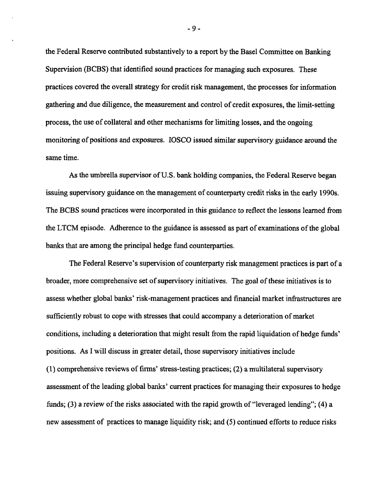the Federal Reserve contributed substantively to a report by the Basel Committee on Banking Supervision (BCBS) that identified sound practices for managing such exposures. These practices covered the overall strategy for credit risk management, the processes for information gathering and due diligence, the measurement and control of credit exposures, the limit-setting process, the use of collateral and other mechanisms for limiting losses, and the ongoing monitoring of positions and exposures. IOSCO issued similar supervisory guidance around the same time.

As the umbrella supervisor of U.S. bank holding companies, the Federal Reserve began issuing supervisory guidance on the management of counterparty credit risks in the early 1990s. The BCBS sound practices were incorporated in this guidance to reflect the lessons learned from the LTCM episode. Adherence to the guidance is assessed as part of examinations of the global banks that are among the principal hedge fund counterparties.

The Federal Reserve's supervision of counterparty risk management practices is part of a broader, more comprehensive set of supervisory initiatives. The goal of these initiatives is to assess whether global banks' risk-management practices and financial market infrastructures are sufficiently robust to cope with stresses that could accompany a deterioration of market conditions, including a deterioration that might result from the rapid liquidation of hedge funds' positions. As I will discuss in greater detail, those supervisory initiatives include (1) comprehensive reviews of firms' stress-testing practices; (2) a multilateral supervisory assessment of the leading global banks' current practices for managing their exposures to hedge funds; (3) a review of the risks associated with the rapid growth of "leveraged lending"; (4) a new assessment of practices to manage liquidity risk; and (5) continued efforts to reduce risks

- 9 -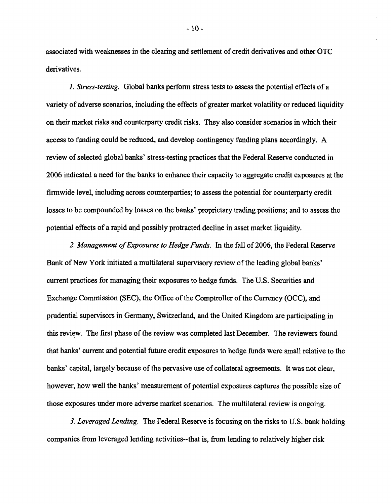associated with weaknesses in the clearing and settlement of credit derivatives and other OTC derivatives.

*1. Stress-testing.* Global banks perform stress tests to assess the potential effects of a variety of adverse scenarios, including the effects of greater market volatility or reduced liquidity on their market risks and counterparty credit risks. They also consider scenarios in which their access to funding could be reduced, and develop contingency funding plans accordingly. A review of selected global banks' stress-testing practices that the Federal Reserve conducted in 2006 indicated a need for the banks to enhance their capacity to aggregate credit exposures at the firmwide level, including across counterparties; to assess the potential for counterparty credit losses to be compounded by losses on the banks' proprietary trading positions; and to assess the potential effects of a rapid and possibly protracted decline in asset market liquidity.

*2. Management of Exposures to Hedge Funds.* In the fall of 2006, the Federal Reserve Bank of New York initiated a multilateral supervisory review of the leading global banks' current practices for managing their exposures to hedge funds. The U.S. Securities and Exchange Commission (SEC), the Office of the Comptroller of the Currency (OCC), and prudential supervisors in Germany, Switzerland, and the United Kingdom are participating in this review. The first phase of the review was completed last December. The reviewers found that banks' current and potential future credit exposures to hedge funds were small relative to the banks' capital, largely because of the pervasive use of collateral agreements. It was not clear, however, how well the banks' measurement of potential exposures captures the possible size of those exposures under more adverse market scenarios. The multilateral review is ongoing.

*3. Leveraged Lending.* The Federal Reserve is focusing on the risks to U.S. bank holding companies from leveraged lending activities—that is, from lending to relatively higher risk

 $-10-$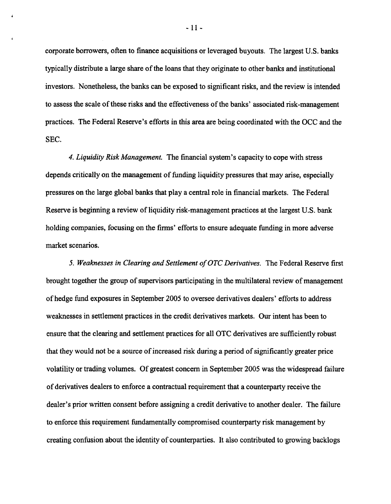corporate borrowers, often to finance acquisitions or leveraged buyouts. The largest U.S. banks typically distribute a large share of the loans that they originate to other banks and institutional investors. Nonetheless, the banks can be exposed to significant risks, and the review is intended to assess the scale of these risks and the effectiveness of the banks' associated risk-management practices. The Federal Reserve's efforts in this area are being coordinated with the OCC and the SEC.

*4. Liquidity Risk Management.* The financial system's capacity to cope with stress depends critically on the management of funding liquidity pressures that may arise, especially pressures on the large global banks that play a central role in financial markets. The Federal Reserve is beginning a review of liquidity risk-management practices at the largest U.S. bank holding companies, focusing on the firms' efforts to ensure adequate funding in more adverse market scenarios.

*5. Weaknesses in Clearing and Settlement of OTC Derivatives.* The Federal Reserve first brought together the group of supervisors participating in the multilateral review of management of hedge fund exposures in September 2005 to oversee derivatives dealers' efforts to address weaknesses in settlement practices in the credit derivatives markets. Our intent has been to ensure that the clearing and settlement practices for all OTC derivatives are sufficiently robust that they would not be a source of increased risk during a period of significantly greater price volatility or trading volumes. Of greatest concern in September 2005 was the widespread failure of derivatives dealers to enforce a contractual requirement that a counterparty receive the dealer's prior written consent before assigning a credit derivative to another dealer. The failure to enforce this requirement fundamentally compromised counterparty risk management by creating confusion about the identity of counterparties. It also contributed to growing backlogs

 $-11 -$